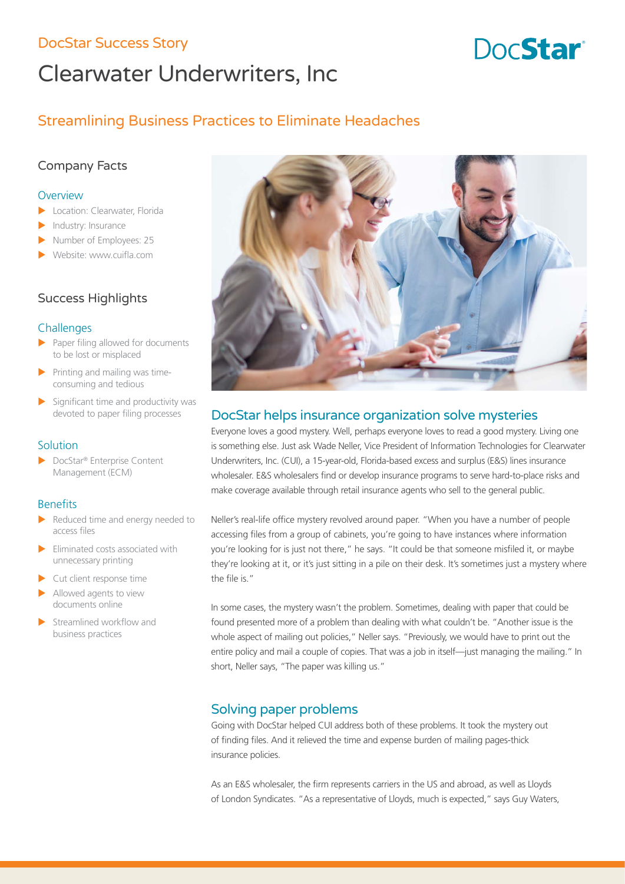# DocStar Success Story **Burnets** Contact Contact Contact Contact Contact Contact Contact Contact Contact Contact Contact Contact Contact Contact Contact Contact Contact Contact Contact Contact Contact Contact Contact Contac

# Clearwater Underwriters, Inc

# Streamlining Business Practices to Eliminate Headaches

# Company Facts

#### **Overview**

- Location: Clearwater, Florida
- Industry: Insurance
- Number of Employees: 25
- Website: www.cuifla.com

# Success Highlights

### **Challenges**

- $\blacktriangleright$  Paper filing allowed for documents to be lost or misplaced
- Printing and mailing was timeconsuming and tedious
- $\blacktriangleright$  Significant time and productivity was devoted to paper filing processes

### Solution

▶ DocStar® Enterprise Content Management (ECM)

## **Benefits**

- Reduced time and energy needed to access files
- $\blacktriangleright$  Eliminated costs associated with unnecessary printing
- Cut client response time
- Allowed agents to view documents online
- Streamlined workflow and business practices



# DocStar helps insurance organization solve mysteries

Everyone loves a good mystery. Well, perhaps everyone loves to read a good mystery. Living one is something else. Just ask Wade Neller, Vice President of Information Technologies for Clearwater Underwriters, Inc. (CUI), a 15-year-old, Florida-based excess and surplus (E&S) lines insurance wholesaler. E&S wholesalers find or develop insurance programs to serve hard-to-place risks and make coverage available through retail insurance agents who sell to the general public.

Neller's real-life office mystery revolved around paper. "When you have a number of people accessing files from a group of cabinets, you're going to have instances where information you're looking for is just not there," he says. "It could be that someone misfiled it, or maybe they're looking at it, or it's just sitting in a pile on their desk. It's sometimes just a mystery where the file is."

In some cases, the mystery wasn't the problem. Sometimes, dealing with paper that could be found presented more of a problem than dealing with what couldn't be. "Another issue is the whole aspect of mailing out policies," Neller says. "Previously, we would have to print out the entire policy and mail a couple of copies. That was a job in itself-just managing the mailing." In short, Neller says, "The paper was killing us."

# Solving paper problems

Going with DocStar helped CUI address both of these problems. It took the mystery out of finding files. And it relieved the time and expense burden of mailing pages-thick insurance policies.

As an E&S wholesaler, the firm represents carriers in the US and abroad, as well as Lloyds of London Syndicates. "As a representative of Lloyds, much is expected," says Guy Waters,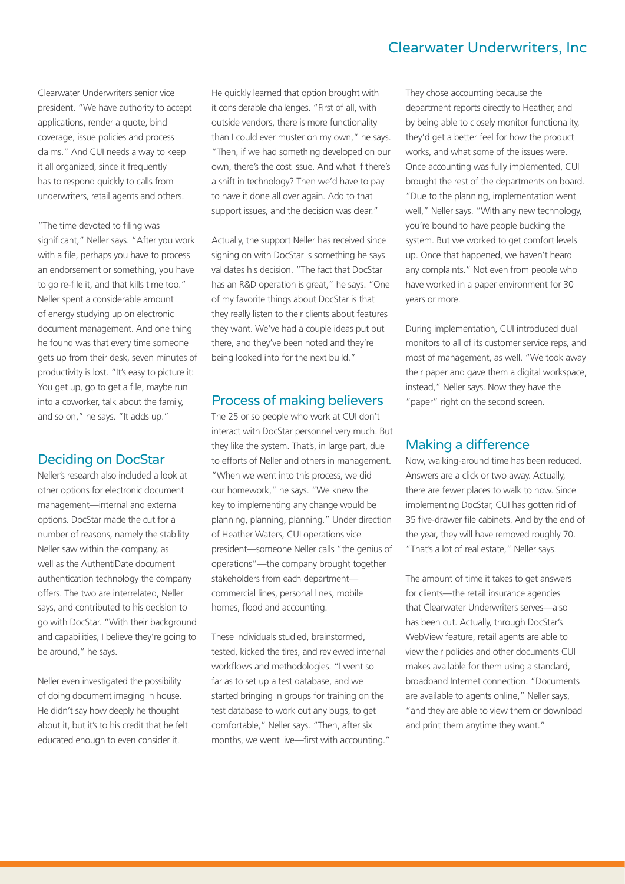# Clearwater Underwriters, Inc

Clearwater Underwriters senior vice president. "We have authority to accept applications, render a quote, bind coverage, issue policies and process claims." And CUI needs a way to keep it all organized, since it frequently has to respond quickly to calls from underwriters, retail agents and others.

"The time devoted to filing was significant," Neller says. "After you work with a file, perhaps you have to process an endorsement or something, you have to go re-file it, and that kills time too." Neller spent a considerable amount of energy studying up on electronic document management. And one thing he found was that every time someone gets up from their desk, seven minutes of productivity is lost. "It's easy to picture it: You get up, go to get a file, maybe run into a coworker, talk about the family, and so on," he says. "It adds up."

#### Deciding on DocStar

Neller's research also included a look at other options for electronic document management—internal and external options. DocStar made the cut for a number of reasons, namely the stability Neller saw within the company, as well as the AuthentiDate document authentication technology the company offers. The two are interrelated, Neller says, and contributed to his decision to go with DocStar. "With their background and capabilities, I believe they're going to be around," he says.

Neller even investigated the possibility of doing document imaging in house. He didn't say how deeply he thought about it, but it's to his credit that he felt educated enough to even consider it.

He quickly learned that option brought with it considerable challenges. "First of all, with outside vendors, there is more functionality than I could ever muster on my own," he says. "Then, if we had something developed on our own, there's the cost issue. And what if there's a shift in technology? Then we'd have to pay to have it done all over again. Add to that support issues, and the decision was clear."

Actually, the support Neller has received since signing on with DocStar is something he says validates his decision. "The fact that DocStar has an R&D operation is great," he says. "One of my favorite things about DocStar is that they really listen to their clients about features they want. We've had a couple ideas put out there, and they've been noted and they're being looked into for the next build."

#### Process of making believers

The 25 or so people who work at CUI don't interact with DocStar personnel very much. But they like the system. That's, in large part, due to efforts of Neller and others in management. "When we went into this process, we did our homework," he says. "We knew the key to implementing any change would be planning, planning, planning." Under direction of Heather Waters, CUI operations vice president—someone Neller calls "the genius of operations"—the company brought together stakeholders from each department commercial lines, personal lines, mobile homes, flood and accounting.

These individuals studied, brainstormed, tested, kicked the tires, and reviewed internal workflows and methodologies. "I went so far as to set up a test database, and we started bringing in groups for training on the test database to work out any bugs, to get comfortable," Neller says. "Then, after six months, we went live—first with accounting." They chose accounting because the department reports directly to Heather, and by being able to closely monitor functionality, they'd get a better feel for how the product works, and what some of the issues were. Once accounting was fully implemented, CUI brought the rest of the departments on board. "Due to the planning, implementation went well," Neller says. "With any new technology, you're bound to have people bucking the system. But we worked to get comfort levels up. Once that happened, we haven't heard any complaints." Not even from people who have worked in a paper environment for 30 years or more.

During implementation, CUI introduced dual monitors to all of its customer service reps, and most of management, as well. "We took away their paper and gave them a digital workspace, instead," Neller says. Now they have the "paper" right on the second screen.

### Making a difference

Now, walking-around time has been reduced. Answers are a click or two away. Actually, there are fewer places to walk to now. Since implementing DocStar, CUI has gotten rid of 35 five-drawer file cabinets. And by the end of the year, they will have removed roughly 70. "That's a lot of real estate," Neller says.

The amount of time it takes to get answers for clients—the retail insurance agencies that Clearwater Underwriters serves—also has been cut. Actually, through DocStar's WebView feature, retail agents are able to view their policies and other documents CUI makes available for them using a standard, broadband Internet connection. "Documents are available to agents online," Neller says, "and they are able to view them or download and print them anytime they want."